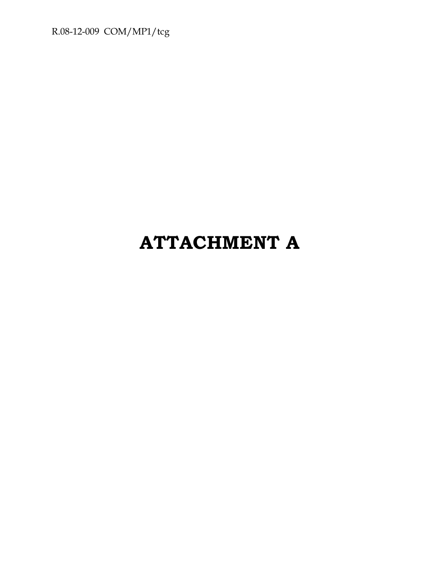R.08-12-009 COM/MP1/tcg

# **ATTACHMENT A**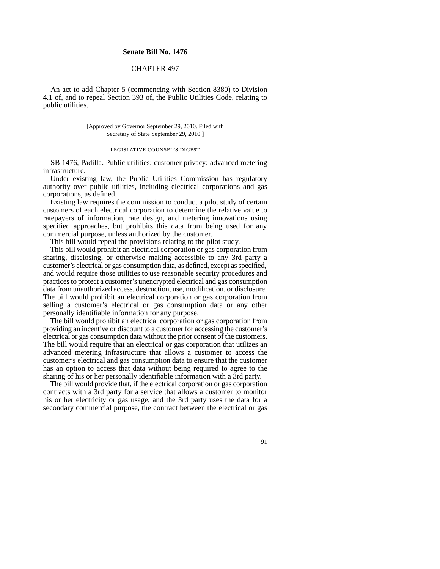#### **Senate Bill No. 1476**

#### CHAPTER 497

An act to add Chapter 5 (commencing with Section 8380) to Division 4.1 of, and to repeal Section 393 of, the Public Utilities Code, relating to public utilities.

> [Approved by Governor September 29, 2010. Filed with Secretary of State September 29, 2010.]

> > legislative counsel's digest

SB 1476, Padilla. Public utilities: customer privacy: advanced metering infrastructure.

Under existing law, the Public Utilities Commission has regulatory authority over public utilities, including electrical corporations and gas corporations, as defined.

Existing law requires the commission to conduct a pilot study of certain customers of each electrical corporation to determine the relative value to ratepayers of information, rate design, and metering innovations using specified approaches, but prohibits this data from being used for any commercial purpose, unless authorized by the customer.

This bill would repeal the provisions relating to the pilot study.

This bill would prohibit an electrical corporation or gas corporation from sharing, disclosing, or otherwise making accessible to any 3rd party a customer's electrical or gas consumption data, as defined, except as specified, and would require those utilities to use reasonable security procedures and practices to protect a customer's unencrypted electrical and gas consumption data from unauthorized access, destruction, use, modification, or disclosure. The bill would prohibit an electrical corporation or gas corporation from selling a customer's electrical or gas consumption data or any other personally identifiable information for any purpose.

The bill would prohibit an electrical corporation or gas corporation from providing an incentive or discount to a customer for accessing the customer's electrical or gas consumption data without the prior consent of the customers. The bill would require that an electrical or gas corporation that utilizes an advanced metering infrastructure that allows a customer to access the customer's electrical and gas consumption data to ensure that the customer has an option to access that data without being required to agree to the sharing of his or her personally identifiable information with a 3rd party.

The bill would provide that, if the electrical corporation or gas corporation contracts with a 3rd party for a service that allows a customer to monitor his or her electricity or gas usage, and the 3rd party uses the data for a secondary commercial purpose, the contract between the electrical or gas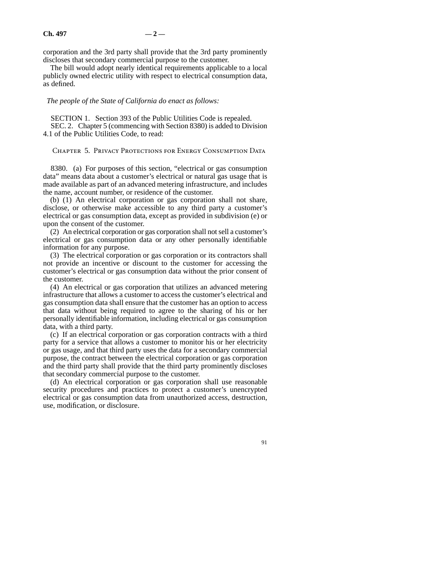corporation and the 3rd party shall provide that the 3rd party prominently discloses that secondary commercial purpose to the customer.

The bill would adopt nearly identical requirements applicable to a local publicly owned electric utility with respect to electrical consumption data, as defined.

*The people of the State of California do enact as follows:*

SECTION 1. Section 393 of the Public Utilities Code is repealed. SEC. 2. Chapter 5 (commencing with Section 8380) is added to Division 4.1 of the Public Utilities Code, to read:

Chapter 5. Privacy Protections for Energy Consumption Data

8380. (a) For purposes of this section, "electrical or gas consumption data" means data about a customer's electrical or natural gas usage that is made available as part of an advanced metering infrastructure, and includes the name, account number, or residence of the customer.

(b) (1) An electrical corporation or gas corporation shall not share, disclose, or otherwise make accessible to any third party a customer's electrical or gas consumption data, except as provided in subdivision (e) or upon the consent of the customer.

(2) An electrical corporation or gas corporation shall not sell a customer's electrical or gas consumption data or any other personally identifiable information for any purpose.

(3) The electrical corporation or gas corporation or its contractors shall not provide an incentive or discount to the customer for accessing the customer's electrical or gas consumption data without the prior consent of the customer.

(4) An electrical or gas corporation that utilizes an advanced metering infrastructure that allows a customer to access the customer's electrical and gas consumption data shall ensure that the customer has an option to access that data without being required to agree to the sharing of his or her personally identifiable information, including electrical or gas consumption data, with a third party.

(c) If an electrical corporation or gas corporation contracts with a third party for a service that allows a customer to monitor his or her electricity or gas usage, and that third party uses the data for a secondary commercial purpose, the contract between the electrical corporation or gas corporation and the third party shall provide that the third party prominently discloses that secondary commercial purpose to the customer.

(d) An electrical corporation or gas corporation shall use reasonable security procedures and practices to protect a customer's unencrypted electrical or gas consumption data from unauthorized access, destruction, use, modification, or disclosure.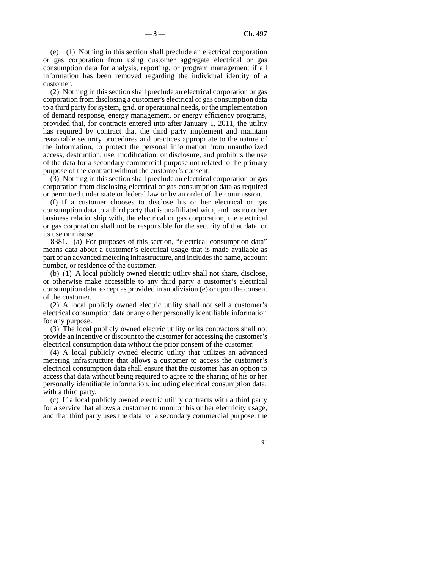(e) (1) Nothing in this section shall preclude an electrical corporation or gas corporation from using customer aggregate electrical or gas consumption data for analysis, reporting, or program management if all information has been removed regarding the individual identity of a customer.

(2) Nothing in this section shall preclude an electrical corporation or gas corporation from disclosing a customer's electrical or gas consumption data to a third party for system, grid, or operational needs, or the implementation of demand response, energy management, or energy efficiency programs, provided that, for contracts entered into after January 1, 2011, the utility has required by contract that the third party implement and maintain reasonable security procedures and practices appropriate to the nature of the information, to protect the personal information from unauthorized access, destruction, use, modification, or disclosure, and prohibits the use of the data for a secondary commercial purpose not related to the primary purpose of the contract without the customer's consent.

(3) Nothing in this section shall preclude an electrical corporation or gas corporation from disclosing electrical or gas consumption data as required or permitted under state or federal law or by an order of the commission.

(f) If a customer chooses to disclose his or her electrical or gas consumption data to a third party that is unaffiliated with, and has no other business relationship with, the electrical or gas corporation, the electrical or gas corporation shall not be responsible for the security of that data, or its use or misuse.

8381. (a) For purposes of this section, "electrical consumption data" means data about a customer's electrical usage that is made available as part of an advanced metering infrastructure, and includes the name, account number, or residence of the customer.

(b) (1) A local publicly owned electric utility shall not share, disclose, or otherwise make accessible to any third party a customer's electrical consumption data, except as provided in subdivision (e) or upon the consent of the customer.

(2) A local publicly owned electric utility shall not sell a customer's electrical consumption data or any other personally identifiable information for any purpose.

(3) The local publicly owned electric utility or its contractors shall not provide an incentive or discount to the customer for accessing the customer's electrical consumption data without the prior consent of the customer.

(4) A local publicly owned electric utility that utilizes an advanced metering infrastructure that allows a customer to access the customer's electrical consumption data shall ensure that the customer has an option to access that data without being required to agree to the sharing of his or her personally identifiable information, including electrical consumption data, with a third party.

(c) If a local publicly owned electric utility contracts with a third party for a service that allows a customer to monitor his or her electricity usage, and that third party uses the data for a secondary commercial purpose, the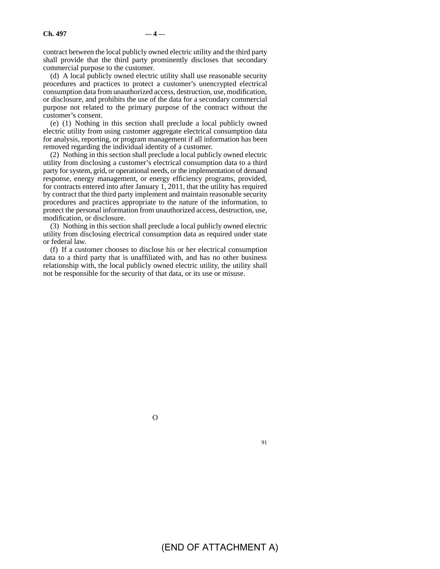contract between the local publicly owned electric utility and the third party shall provide that the third party prominently discloses that secondary commercial purpose to the customer.

(d) A local publicly owned electric utility shall use reasonable security procedures and practices to protect a customer's unencrypted electrical consumption data from unauthorized access, destruction, use, modification, or disclosure, and prohibits the use of the data for a secondary commercial purpose not related to the primary purpose of the contract without the customer's consent.

(e) (1) Nothing in this section shall preclude a local publicly owned electric utility from using customer aggregate electrical consumption data for analysis, reporting, or program management if all information has been removed regarding the individual identity of a customer.

(2) Nothing in this section shall preclude a local publicly owned electric utility from disclosing a customer's electrical consumption data to a third party for system, grid, or operational needs, or the implementation of demand response, energy management, or energy efficiency programs, provided, for contracts entered into after January 1, 2011, that the utility has required by contract that the third party implement and maintain reasonable security procedures and practices appropriate to the nature of the information, to protect the personal information from unauthorized access, destruction, use, modification, or disclosure.

(3) Nothing in this section shall preclude a local publicly owned electric utility from disclosing electrical consumption data as required under state or federal law.

(f) If a customer chooses to disclose his or her electrical consumption data to a third party that is unaffiliated with, and has no other business relationship with, the local publicly owned electric utility, the utility shall not be responsible for the security of that data, or its use or misuse.

O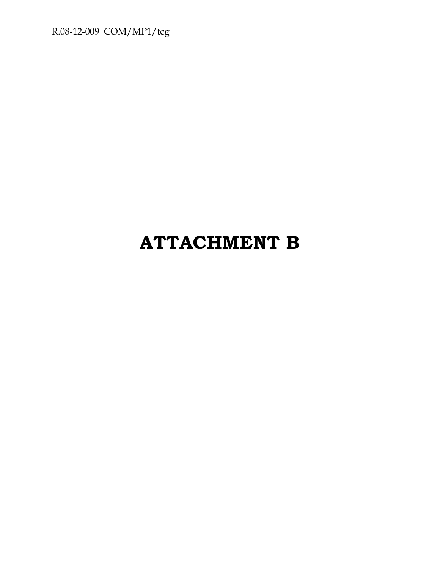R.08-12-009 COM/MP1/tcg

# **ATTACHMENT B**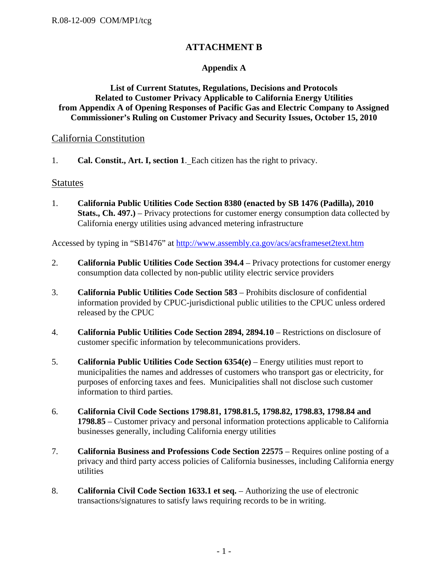## **ATTACHMENT B**

#### **Appendix A**

#### **List of Current Statutes, Regulations, Decisions and Protocols Related to Customer Privacy Applicable to California Energy Utilities from Appendix A of Opening Responses of Pacific Gas and Electric Company to Assigned Commissioner's Ruling on Customer Privacy and Security Issues, October 15, 2010**

#### California Constitution

1. **Cal. Constit., Art. I, section 1**. Each citizen has the right to privacy.

#### **Statutes**

1. **California Public Utilities Code Section 8380 (enacted by SB 1476 (Padilla), 2010 Stats., Ch. 497.)** – Privacy protections for customer energy consumption data collected by California energy utilities using advanced metering infrastructure

Accessed by typing in "SB1476" at http://www.assembly.ca.gov/acs/acsframeset2text.htm

- 2. **California Public Utilities Code Section 394.4** Privacy protections for customer energy consumption data collected by non-public utility electric service providers
- 3. **California Public Utilities Code Section 583** Prohibits disclosure of confidential information provided by CPUC-jurisdictional public utilities to the CPUC unless ordered released by the CPUC
- 4. **California Public Utilities Code Section 2894, 2894.10**  Restrictions on disclosure of customer specific information by telecommunications providers.
- 5. **California Public Utilities Code Section 6354(e)** Energy utilities must report to municipalities the names and addresses of customers who transport gas or electricity, for purposes of enforcing taxes and fees. Municipalities shall not disclose such customer information to third parties.
- 6. **California Civil Code Sections 1798.81, 1798.81.5, 1798.82, 1798.83, 1798.84 and 1798.85** – Customer privacy and personal information protections applicable to California businesses generally, including California energy utilities
- 7. **California Business and Professions Code Section 22575** Requires online posting of a privacy and third party access policies of California businesses, including California energy utilities
- 8. **California Civil Code Section 1633.1 et seq.** Authorizing the use of electronic transactions/signatures to satisfy laws requiring records to be in writing.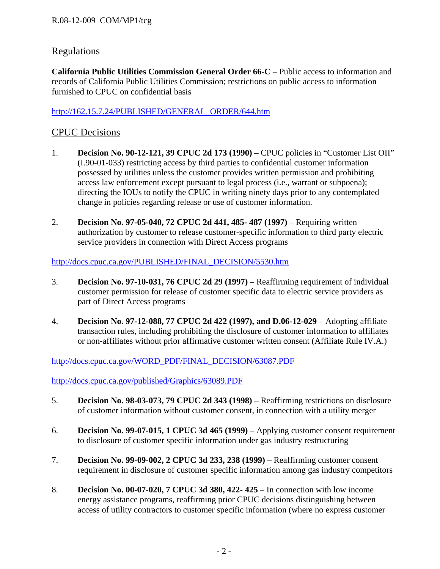## Regulations

**California Public Utilities Commission General Order 66-C** – Public access to information and records of California Public Utilities Commission; restrictions on public access to information furnished to CPUC on confidential basis

#### http://162.15.7.24/PUBLISHED/GENERAL\_ORDER/644.htm

## CPUC Decisions

- 1. **Decision No. 90-12-121, 39 CPUC 2d 173 (1990)**  CPUC policies in "Customer List OII" (I.90-01-033) restricting access by third parties to confidential customer information possessed by utilities unless the customer provides written permission and prohibiting access law enforcement except pursuant to legal process (i.e., warrant or subpoena); directing the IOUs to notify the CPUC in writing ninety days prior to any contemplated change in policies regarding release or use of customer information.
- 2. **Decision No. 97-05-040, 72 CPUC 2d 441, 485-487 (1997)** Requiring written authorization by customer to release customer-specific information to third party electric service providers in connection with Direct Access programs

#### http://docs.cpuc.ca.gov/PUBLISHED/FINAL\_DECISION/5530.htm

- 3. **Decision No. 97-10-031, 76 CPUC 2d 29 (1997)**  Reaffirming requirement of individual customer permission for release of customer specific data to electric service providers as part of Direct Access programs
- 4. **Decision No. 97-12-088, 77 CPUC 2d 422 (1997), and D.06-12-029** Adopting affiliate transaction rules, including prohibiting the disclosure of customer information to affiliates or non-affiliates without prior affirmative customer written consent (Affiliate Rule IV.A.)

http://docs.cpuc.ca.gov/WORD\_PDF/FINAL\_DECISION/63087.PDF

http://docs.cpuc.ca.gov/published/Graphics/63089.PDF

- 5. **Decision No. 98-03-073, 79 CPUC 2d 343 (1998)**  Reaffirming restrictions on disclosure of customer information without customer consent, in connection with a utility merger
- 6. **Decision No. 99-07-015, 1 CPUC 3d 465 (1999)**  Applying customer consent requirement to disclosure of customer specific information under gas industry restructuring
- 7. **Decision No. 99-09-002, 2 CPUC 3d 233, 238 (1999)**  Reaffirming customer consent requirement in disclosure of customer specific information among gas industry competitors
- 8. **Decision No. 00-07-020, 7 CPUC 3d 380, 422- 425** In connection with low income energy assistance programs, reaffirming prior CPUC decisions distinguishing between access of utility contractors to customer specific information (where no express customer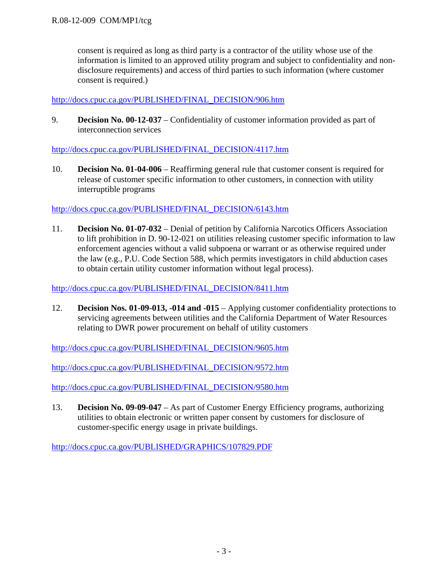consent is required as long as third party is a contractor of the utility whose use of the information is limited to an approved utility program and subject to confidentiality and nondisclosure requirements) and access of third parties to such information (where customer consent is required.)

#### http://docs.cpuc.ca.gov/PUBLISHED/FINAL\_DECISION/906.htm

9. **Decision No. 00-12-037** – Confidentiality of customer information provided as part of interconnection services

#### http://docs.cpuc.ca.gov/PUBLISHED/FINAL\_DECISION/4117.htm

10. **Decision No. 01-04-006** – Reaffirming general rule that customer consent is required for release of customer specific information to other customers, in connection with utility interruptible programs

#### http://docs.cpuc.ca.gov/PUBLISHED/FINAL\_DECISION/6143.htm

11. **Decision No. 01-07-032** – Denial of petition by California Narcotics Officers Association to lift prohibition in D. 90-12-021 on utilities releasing customer specific information to law enforcement agencies without a valid subpoena or warrant or as otherwise required under the law (e.g., P.U. Code Section 588, which permits investigators in child abduction cases to obtain certain utility customer information without legal process).

#### http://docs.cpuc.ca.gov/PUBLISHED/FINAL\_DECISION/8411.htm

12. **Decision Nos. 01-09-013, -014 and -015** – Applying customer confidentiality protections to servicing agreements between utilities and the California Department of Water Resources relating to DWR power procurement on behalf of utility customers

http://docs.cpuc.ca.gov/PUBLISHED/FINAL\_DECISION/9605.htm

http://docs.cpuc.ca.gov/PUBLISHED/FINAL\_DECISION/9572.htm

http://docs.cpuc.ca.gov/PUBLISHED/FINAL\_DECISION/9580.htm

13. **Decision No. 09-09-047** – As part of Customer Energy Efficiency programs, authorizing utilities to obtain electronic or written paper consent by customers for disclosure of customer-specific energy usage in private buildings.

http://docs.cpuc.ca.gov/PUBLISHED/GRAPHICS/107829.PDF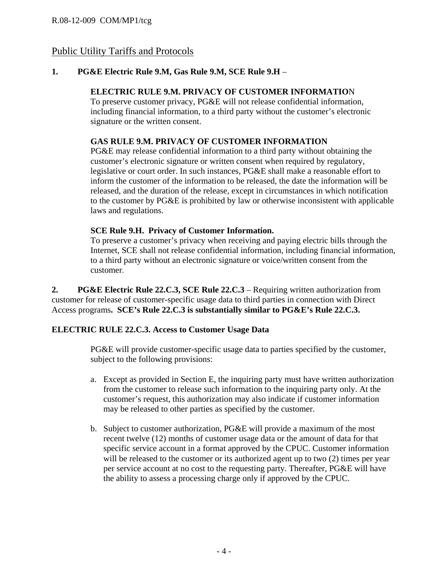## Public Utility Tariffs and Protocols

### **1. PG&E Electric Rule 9.M, Gas Rule 9.M, SCE Rule 9.H** –

### **ELECTRIC RULE 9.M. PRIVACY OF CUSTOMER INFORMATIO**N

To preserve customer privacy, PG&E will not release confidential information, including financial information, to a third party without the customer's electronic signature or the written consent.

### **GAS RULE 9.M. PRIVACY OF CUSTOMER INFORMATION**

PG&E may release confidential information to a third party without obtaining the customer's electronic signature or written consent when required by regulatory, legislative or court order. In such instances, PG&E shall make a reasonable effort to inform the customer of the information to be released, the date the information will be released, and the duration of the release, except in circumstances in which notification to the customer by PG&E is prohibited by law or otherwise inconsistent with applicable laws and regulations.

#### **SCE Rule 9.H. Privacy of Customer Information.**

To preserve a customer's privacy when receiving and paying electric bills through the Internet, SCE shall not release confidential information, including financial information, to a third party without an electronic signature or voice/written consent from the customer.

**2. PG&E Electric Rule 22.C.3, SCE Rule 22.C.3** – Requiring written authorization from customer for release of customer-specific usage data to third parties in connection with Direct Access programs**. SCE's Rule 22.C.3 is substantially similar to PG&E's Rule 22.C.3.** 

#### **ELECTRIC RULE 22.C.3. Access to Customer Usage Data**

PG&E will provide customer-specific usage data to parties specified by the customer, subject to the following provisions:

- a. Except as provided in Section E, the inquiring party must have written authorization from the customer to release such information to the inquiring party only. At the customer's request, this authorization may also indicate if customer information may be released to other parties as specified by the customer.
- b. Subject to customer authorization, PG&E will provide a maximum of the most recent twelve (12) months of customer usage data or the amount of data for that specific service account in a format approved by the CPUC. Customer information will be released to the customer or its authorized agent up to two  $(2)$  times per year per service account at no cost to the requesting party. Thereafter, PG&E will have the ability to assess a processing charge only if approved by the CPUC.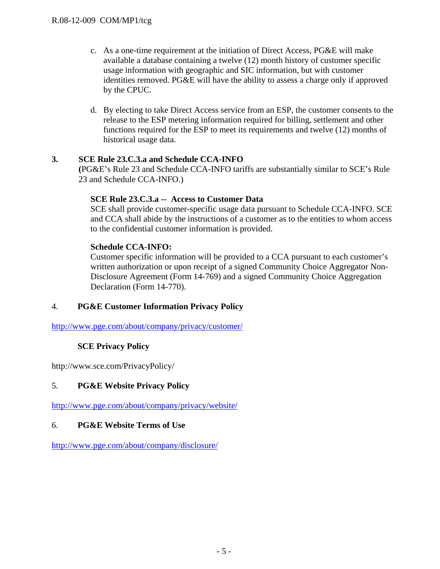- c. As a one-time requirement at the initiation of Direct Access, PG&E will make available a database containing a twelve (12) month history of customer specific usage information with geographic and SIC information, but with customer identities removed. PG&E will have the ability to assess a charge only if approved by the CPUC.
- d. By electing to take Direct Access service from an ESP, the customer consents to the release to the ESP metering information required for billing, settlement and other functions required for the ESP to meet its requirements and twelve (12) months of historical usage data.

#### **3. SCE Rule 23.C.3.a and Schedule CCA-INFO**

**(**PG&E's Rule 23 and Schedule CCA-INFO tariffs are substantially similar to SCE's Rule 23 and Schedule CCA-INFO.)

#### **SCE Rule 23.C.3.a -- Access to Customer Data**

SCE shall provide customer-specific usage data pursuant to Schedule CCA-INFO. SCE and CCA shall abide by the instructions of a customer as to the entities to whom access to the confidential customer information is provided.

#### **Schedule CCA-INFO:**

Customer specific information will be provided to a CCA pursuant to each customer's written authorization or upon receipt of a signed Community Choice Aggregator Non-Disclosure Agreement (Form 14-769) and a signed Community Choice Aggregation Declaration (Form 14-770).

#### 4. **PG&E Customer Information Privacy Policy**

http://www.pge.com/about/company/privacy/customer/

#### **SCE Privacy Policy**

http://www.sce.com/PrivacyPolicy/

#### 5. **PG&E Website Privacy Policy**

http://www.pge.com/about/company/privacy/website/

#### 6. **PG&E Website Terms of Use**

http://www.pge.com/about/company/disclosure/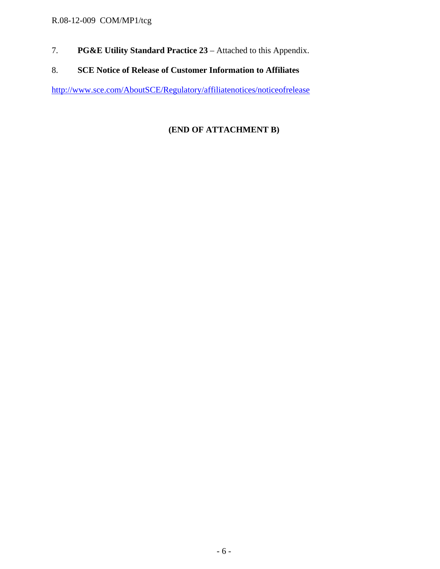## R.08-12-009 COM/MP1/tcg

- 7. **PG&E Utility Standard Practice 23** Attached to this Appendix.
- 8. **SCE Notice of Release of Customer Information to Affiliates**

http://www.sce.com/AboutSCE/Regulatory/affiliatenotices/noticeofrelease

## **(END OF ATTACHMENT B)**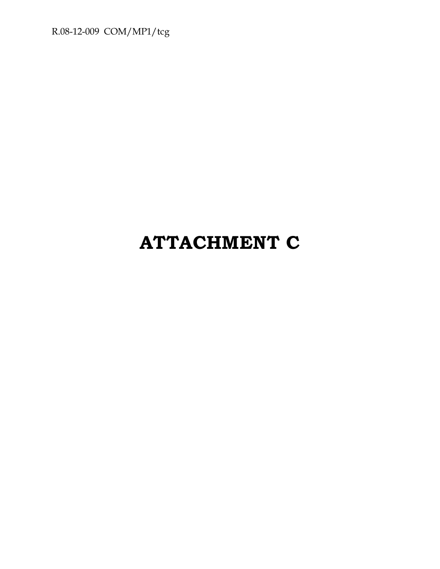R.08-12-009 COM/MP1/tcg

# **ATTACHMENT C**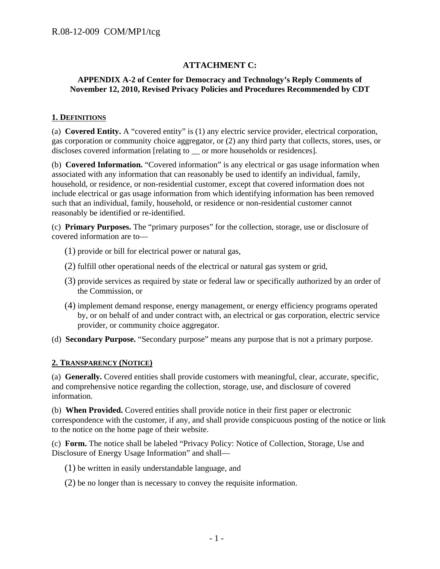### **ATTACHMENT C:**

#### **APPENDIX A-2 of Center for Democracy and Technology's Reply Comments of November 12, 2010, Revised Privacy Policies and Procedures Recommended by CDT**

#### **1. DEFINITIONS**

(a) **Covered Entity.** A "covered entity" is (1) any electric service provider, electrical corporation, gas corporation or community choice aggregator, or (2) any third party that collects, stores, uses, or discloses covered information [relating to \_\_ or more households or residences].

(b) **Covered Information.** "Covered information" is any electrical or gas usage information when associated with any information that can reasonably be used to identify an individual, family, household, or residence, or non-residential customer, except that covered information does not include electrical or gas usage information from which identifying information has been removed such that an individual, family, household, or residence or non-residential customer cannot reasonably be identified or re-identified.

(c) **Primary Purposes.** The "primary purposes" for the collection, storage, use or disclosure of covered information are to—

- (1) provide or bill for electrical power or natural gas,
- (2) fulfill other operational needs of the electrical or natural gas system or grid,
- (3) provide services as required by state or federal law or specifically authorized by an order of the Commission, or
- (4) implement demand response, energy management, or energy efficiency programs operated by, or on behalf of and under contract with, an electrical or gas corporation, electric service provider, or community choice aggregator.
- (d) **Secondary Purpose.** "Secondary purpose" means any purpose that is not a primary purpose.

#### **2. TRANSPARENCY (NOTICE)**

(a) **Generally.** Covered entities shall provide customers with meaningful, clear, accurate, specific, and comprehensive notice regarding the collection, storage, use, and disclosure of covered information.

(b) **When Provided.** Covered entities shall provide notice in their first paper or electronic correspondence with the customer, if any, and shall provide conspicuous posting of the notice or link to the notice on the home page of their website.

(c) **Form.** The notice shall be labeled "Privacy Policy: Notice of Collection, Storage, Use and Disclosure of Energy Usage Information" and shall—

- (1) be written in easily understandable language, and
- (2) be no longer than is necessary to convey the requisite information.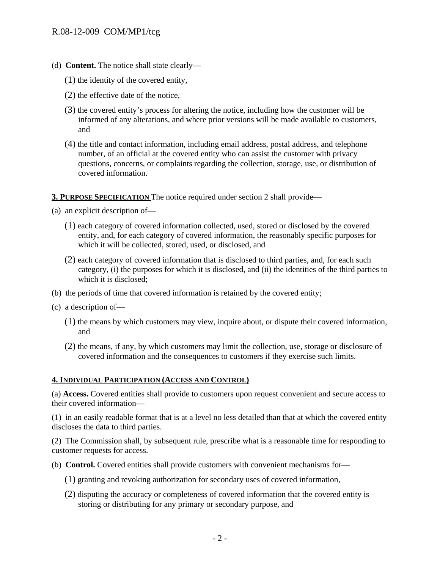- (d) **Content.** The notice shall state clearly—
	- (1) the identity of the covered entity,
	- (2) the effective date of the notice,
	- (3) the covered entity's process for altering the notice, including how the customer will be informed of any alterations, and where prior versions will be made available to customers, and
	- (4) the title and contact information, including email address, postal address, and telephone number, of an official at the covered entity who can assist the customer with privacy questions, concerns, or complaints regarding the collection, storage, use, or distribution of covered information.

**3. PURPOSE SPECIFICATION** The notice required under section 2 shall provide—

(a) an explicit description of—

- (1) each category of covered information collected, used, stored or disclosed by the covered entity, and, for each category of covered information, the reasonably specific purposes for which it will be collected, stored, used, or disclosed, and
- (2) each category of covered information that is disclosed to third parties, and, for each such category, (i) the purposes for which it is disclosed, and (ii) the identities of the third parties to which it is disclosed;
- (b) the periods of time that covered information is retained by the covered entity;
- (c) a description of—
	- (1) the means by which customers may view, inquire about, or dispute their covered information, and
	- (2) the means, if any, by which customers may limit the collection, use, storage or disclosure of covered information and the consequences to customers if they exercise such limits.

#### **4. INDIVIDUAL PARTICIPATION (ACCESS AND CONTROL)**

(a) **Access.** Covered entities shall provide to customers upon request convenient and secure access to their covered information—

(1) in an easily readable format that is at a level no less detailed than that at which the covered entity discloses the data to third parties.

(2) The Commission shall, by subsequent rule, prescribe what is a reasonable time for responding to customer requests for access.

(b) **Control.** Covered entities shall provide customers with convenient mechanisms for—

- (1) granting and revoking authorization for secondary uses of covered information,
- (2) disputing the accuracy or completeness of covered information that the covered entity is storing or distributing for any primary or secondary purpose, and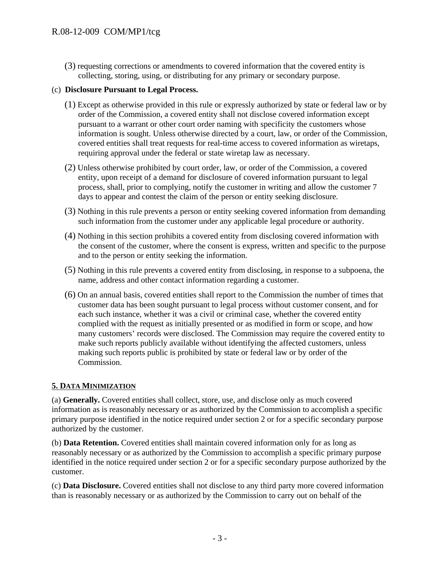(3) requesting corrections or amendments to covered information that the covered entity is collecting, storing, using, or distributing for any primary or secondary purpose.

#### (c) **Disclosure Pursuant to Legal Process.**

- (1) Except as otherwise provided in this rule or expressly authorized by state or federal law or by order of the Commission, a covered entity shall not disclose covered information except pursuant to a warrant or other court order naming with specificity the customers whose information is sought. Unless otherwise directed by a court, law, or order of the Commission, covered entities shall treat requests for real-time access to covered information as wiretaps, requiring approval under the federal or state wiretap law as necessary.
- (2) Unless otherwise prohibited by court order, law, or order of the Commission, a covered entity, upon receipt of a demand for disclosure of covered information pursuant to legal process, shall, prior to complying, notify the customer in writing and allow the customer 7 days to appear and contest the claim of the person or entity seeking disclosure.
- (3) Nothing in this rule prevents a person or entity seeking covered information from demanding such information from the customer under any applicable legal procedure or authority.
- (4) Nothing in this section prohibits a covered entity from disclosing covered information with the consent of the customer, where the consent is express, written and specific to the purpose and to the person or entity seeking the information.
- (5) Nothing in this rule prevents a covered entity from disclosing, in response to a subpoena, the name, address and other contact information regarding a customer.
- (6) On an annual basis, covered entities shall report to the Commission the number of times that customer data has been sought pursuant to legal process without customer consent, and for each such instance, whether it was a civil or criminal case, whether the covered entity complied with the request as initially presented or as modified in form or scope, and how many customers' records were disclosed. The Commission may require the covered entity to make such reports publicly available without identifying the affected customers, unless making such reports public is prohibited by state or federal law or by order of the Commission.

#### **5. DATA MINIMIZATION**

(a) **Generally.** Covered entities shall collect, store, use, and disclose only as much covered information as is reasonably necessary or as authorized by the Commission to accomplish a specific primary purpose identified in the notice required under section 2 or for a specific secondary purpose authorized by the customer.

(b) **Data Retention.** Covered entities shall maintain covered information only for as long as reasonably necessary or as authorized by the Commission to accomplish a specific primary purpose identified in the notice required under section 2 or for a specific secondary purpose authorized by the customer.

(c) **Data Disclosure.** Covered entities shall not disclose to any third party more covered information than is reasonably necessary or as authorized by the Commission to carry out on behalf of the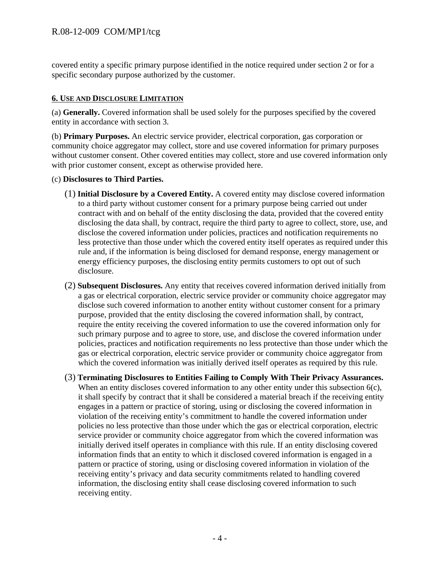covered entity a specific primary purpose identified in the notice required under section 2 or for a specific secondary purpose authorized by the customer.

#### **6. USE AND DISCLOSURE LIMITATION**

(a) **Generally.** Covered information shall be used solely for the purposes specified by the covered entity in accordance with section 3.

(b) **Primary Purposes.** An electric service provider, electrical corporation, gas corporation or community choice aggregator may collect, store and use covered information for primary purposes without customer consent. Other covered entities may collect, store and use covered information only with prior customer consent, except as otherwise provided here.

#### (c) **Disclosures to Third Parties.**

- (1) **Initial Disclosure by a Covered Entity.** A covered entity may disclose covered information to a third party without customer consent for a primary purpose being carried out under contract with and on behalf of the entity disclosing the data, provided that the covered entity disclosing the data shall, by contract, require the third party to agree to collect, store, use, and disclose the covered information under policies, practices and notification requirements no less protective than those under which the covered entity itself operates as required under this rule and, if the information is being disclosed for demand response, energy management or energy efficiency purposes, the disclosing entity permits customers to opt out of such disclosure.
- (2) **Subsequent Disclosures.** Any entity that receives covered information derived initially from a gas or electrical corporation, electric service provider or community choice aggregator may disclose such covered information to another entity without customer consent for a primary purpose, provided that the entity disclosing the covered information shall, by contract, require the entity receiving the covered information to use the covered information only for such primary purpose and to agree to store, use, and disclose the covered information under policies, practices and notification requirements no less protective than those under which the gas or electrical corporation, electric service provider or community choice aggregator from which the covered information was initially derived itself operates as required by this rule.
- (3) **Terminating Disclosures to Entities Failing to Comply With Their Privacy Assurances.**  When an entity discloses covered information to any other entity under this subsection 6(c), it shall specify by contract that it shall be considered a material breach if the receiving entity engages in a pattern or practice of storing, using or disclosing the covered information in violation of the receiving entity's commitment to handle the covered information under policies no less protective than those under which the gas or electrical corporation, electric service provider or community choice aggregator from which the covered information was initially derived itself operates in compliance with this rule. If an entity disclosing covered information finds that an entity to which it disclosed covered information is engaged in a pattern or practice of storing, using or disclosing covered information in violation of the receiving entity's privacy and data security commitments related to handling covered information, the disclosing entity shall cease disclosing covered information to such receiving entity.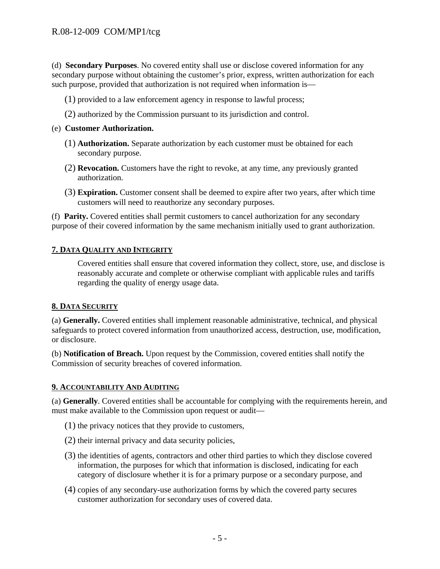(d) **Secondary Purposes**. No covered entity shall use or disclose covered information for any secondary purpose without obtaining the customer's prior, express, written authorization for each such purpose, provided that authorization is not required when information is—

- (1) provided to a law enforcement agency in response to lawful process;
- (2) authorized by the Commission pursuant to its jurisdiction and control.
- (e) **Customer Authorization.** 
	- (1) **Authorization.** Separate authorization by each customer must be obtained for each secondary purpose.
	- (2) **Revocation.** Customers have the right to revoke, at any time, any previously granted authorization.
	- (3) **Expiration.** Customer consent shall be deemed to expire after two years, after which time customers will need to reauthorize any secondary purposes.

(f) **Parity.** Covered entities shall permit customers to cancel authorization for any secondary purpose of their covered information by the same mechanism initially used to grant authorization.

### **7. DATA QUALITY AND INTEGRITY**

Covered entities shall ensure that covered information they collect, store, use, and disclose is reasonably accurate and complete or otherwise compliant with applicable rules and tariffs regarding the quality of energy usage data.

#### **8. DATA SECURITY**

(a) **Generally.** Covered entities shall implement reasonable administrative, technical, and physical safeguards to protect covered information from unauthorized access, destruction, use, modification, or disclosure.

(b) **Notification of Breach.** Upon request by the Commission, covered entities shall notify the Commission of security breaches of covered information.

#### **9. ACCOUNTABILITY AND AUDITING**

(a) **Generally**. Covered entities shall be accountable for complying with the requirements herein, and must make available to the Commission upon request or audit—

- (1) the privacy notices that they provide to customers,
- (2) their internal privacy and data security policies,
- (3) the identities of agents, contractors and other third parties to which they disclose covered information, the purposes for which that information is disclosed, indicating for each category of disclosure whether it is for a primary purpose or a secondary purpose, and
- (4) copies of any secondary-use authorization forms by which the covered party secures customer authorization for secondary uses of covered data.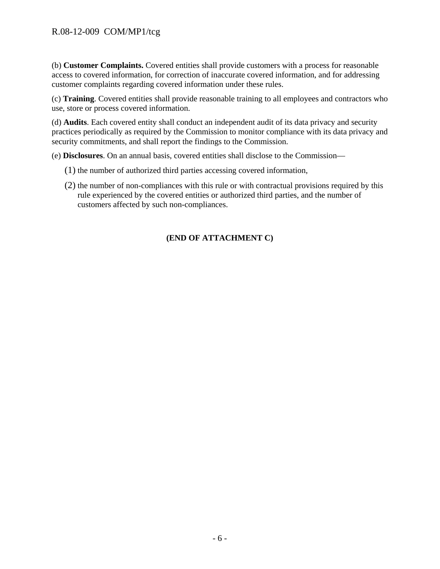(b) **Customer Complaints.** Covered entities shall provide customers with a process for reasonable access to covered information, for correction of inaccurate covered information, and for addressing customer complaints regarding covered information under these rules.

(c) **Training**. Covered entities shall provide reasonable training to all employees and contractors who use, store or process covered information.

(d) **Audits**. Each covered entity shall conduct an independent audit of its data privacy and security practices periodically as required by the Commission to monitor compliance with its data privacy and security commitments, and shall report the findings to the Commission.

(e) **Disclosures**. On an annual basis, covered entities shall disclose to the Commission—

- (1) the number of authorized third parties accessing covered information,
- (2) the number of non-compliances with this rule or with contractual provisions required by this rule experienced by the covered entities or authorized third parties, and the number of customers affected by such non-compliances.

### **(END OF ATTACHMENT C)**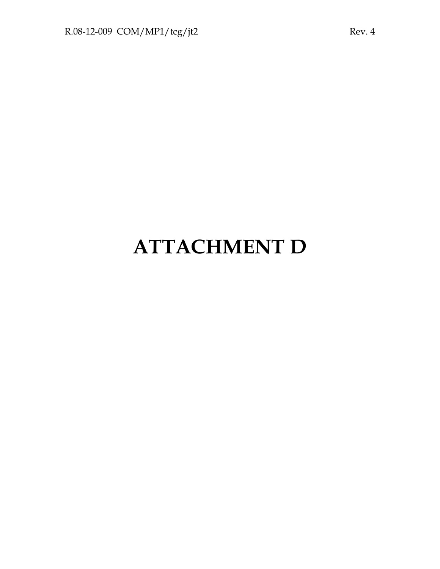# **ATTACHMENT D**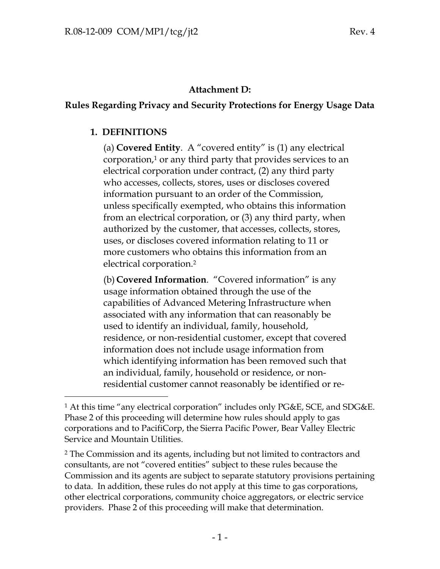## **Attachment D:**

# **Rules Regarding Privacy and Security Protections for Energy Usage Data**

## **1. DEFINITIONS**

-

(a) **Covered Entity**. A "covered entity" is (1) any electrical corporation,1 or any third party that provides services to an electrical corporation under contract, (2) any third party who accesses, collects, stores, uses or discloses covered information pursuant to an order of the Commission, unless specifically exempted, who obtains this information from an electrical corporation, or (3) any third party, when authorized by the customer, that accesses, collects, stores, uses, or discloses covered information relating to 11 or more customers who obtains this information from an electrical corporation.2

(b) **Covered Information**. "Covered information" is any usage information obtained through the use of the capabilities of Advanced Metering Infrastructure when associated with any information that can reasonably be used to identify an individual, family, household, residence, or non-residential customer, except that covered information does not include usage information from which identifying information has been removed such that an individual, family, household or residence, or nonresidential customer cannot reasonably be identified or re-

2 The Commission and its agents, including but not limited to contractors and consultants, are not "covered entities" subject to these rules because the Commission and its agents are subject to separate statutory provisions pertaining to data. In addition, these rules do not apply at this time to gas corporations, other electrical corporations, community choice aggregators, or electric service providers. Phase 2 of this proceeding will make that determination.

<sup>1</sup> At this time "any electrical corporation" includes only PG&E, SCE, and SDG&E. Phase 2 of this proceeding will determine how rules should apply to gas corporations and to PacifiCorp, the Sierra Pacific Power, Bear Valley Electric Service and Mountain Utilities.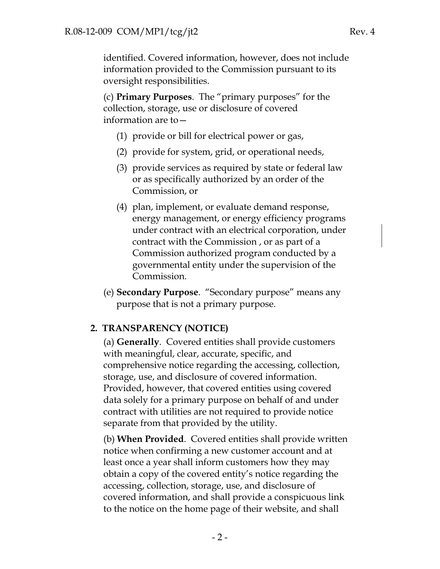identified. Covered information, however, does not include information provided to the Commission pursuant to its oversight responsibilities.

(c) **Primary Purposes**. The "primary purposes" for the collection, storage, use or disclosure of covered information are to—

- (1) provide or bill for electrical power or gas,
- (2) provide for system, grid, or operational needs,
- (3) provide services as required by state or federal law or as specifically authorized by an order of the Commission, or
- (4) plan, implement, or evaluate demand response, energy management, or energy efficiency programs under contract with an electrical corporation, under contract with the Commission , or as part of a Commission authorized program conducted by a governmental entity under the supervision of the Commission.
- (e) **Secondary Purpose**. "Secondary purpose" means any purpose that is not a primary purpose.

## **2. TRANSPARENCY (NOTICE)**

(a) **Generally**. Covered entities shall provide customers with meaningful, clear, accurate, specific, and comprehensive notice regarding the accessing, collection, storage, use, and disclosure of covered information. Provided, however, that covered entities using covered data solely for a primary purpose on behalf of and under contract with utilities are not required to provide notice separate from that provided by the utility.

(b) **When Provided**. Covered entities shall provide written notice when confirming a new customer account and at least once a year shall inform customers how they may obtain a copy of the covered entity's notice regarding the accessing, collection, storage, use, and disclosure of covered information, and shall provide a conspicuous link to the notice on the home page of their website, and shall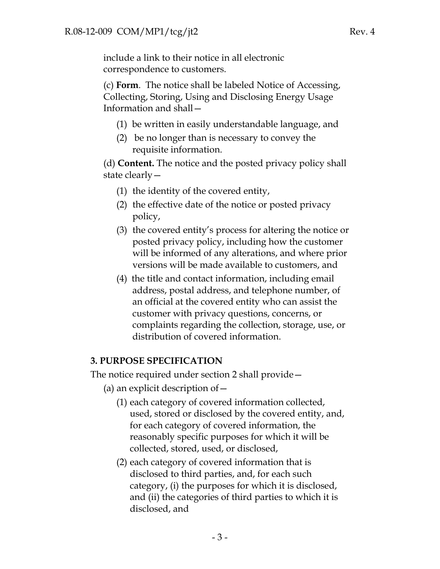include a link to their notice in all electronic correspondence to customers.

(c) **Form**. The notice shall be labeled Notice of Accessing, Collecting, Storing, Using and Disclosing Energy Usage Information and shall—

- (1) be written in easily understandable language, and
- (2) be no longer than is necessary to convey the requisite information.

(d) **Content.** The notice and the posted privacy policy shall state clearly—

- (1) the identity of the covered entity,
- (2) the effective date of the notice or posted privacy policy,
- (3) the covered entity's process for altering the notice or posted privacy policy, including how the customer will be informed of any alterations, and where prior versions will be made available to customers, and
- (4) the title and contact information, including email address, postal address, and telephone number, of an official at the covered entity who can assist the customer with privacy questions, concerns, or complaints regarding the collection, storage, use, or distribution of covered information.

# **3. PURPOSE SPECIFICATION**

The notice required under section 2 shall provide—

- (a) an explicit description of  $-$ 
	- (1) each category of covered information collected, used, stored or disclosed by the covered entity, and, for each category of covered information, the reasonably specific purposes for which it will be collected, stored, used, or disclosed,
	- (2) each category of covered information that is disclosed to third parties, and, for each such category, (i) the purposes for which it is disclosed, and (ii) the categories of third parties to which it is disclosed, and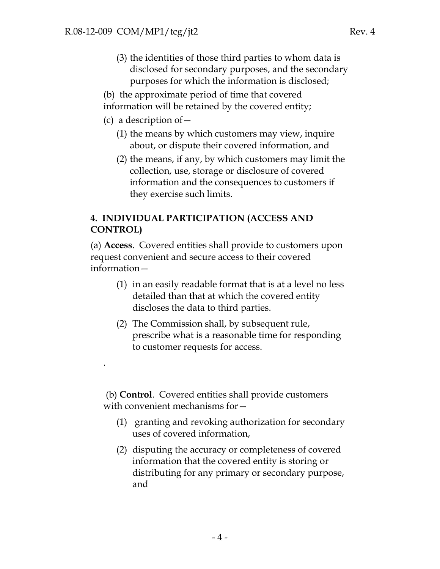- (3) the identities of those third parties to whom data is disclosed for secondary purposes, and the secondary purposes for which the information is disclosed;
- (b) the approximate period of time that covered

information will be retained by the covered entity;

(c) a description of—

.

- (1) the means by which customers may view, inquire about, or dispute their covered information, and
- (2) the means, if any, by which customers may limit the collection, use, storage or disclosure of covered information and the consequences to customers if they exercise such limits.

## **4. INDIVIDUAL PARTICIPATION (ACCESS AND CONTROL)**

(a) **Access**. Covered entities shall provide to customers upon request convenient and secure access to their covered information—

- (1) in an easily readable format that is at a level no less detailed than that at which the covered entity discloses the data to third parties.
- (2) The Commission shall, by subsequent rule, prescribe what is a reasonable time for responding to customer requests for access.

 (b) **Control**. Covered entities shall provide customers with convenient mechanisms for—

- (1) granting and revoking authorization for secondary uses of covered information,
- (2) disputing the accuracy or completeness of covered information that the covered entity is storing or distributing for any primary or secondary purpose, and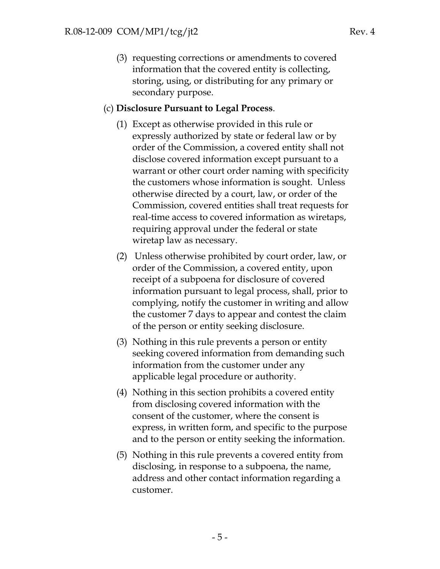(3) requesting corrections or amendments to covered information that the covered entity is collecting, storing, using, or distributing for any primary or secondary purpose.

## (c) **Disclosure Pursuant to Legal Process**.

- (1) Except as otherwise provided in this rule or expressly authorized by state or federal law or by order of the Commission, a covered entity shall not disclose covered information except pursuant to a warrant or other court order naming with specificity the customers whose information is sought. Unless otherwise directed by a court, law, or order of the Commission, covered entities shall treat requests for real-time access to covered information as wiretaps, requiring approval under the federal or state wiretap law as necessary.
- (2) Unless otherwise prohibited by court order, law, or order of the Commission, a covered entity, upon receipt of a subpoena for disclosure of covered information pursuant to legal process, shall, prior to complying, notify the customer in writing and allow the customer 7 days to appear and contest the claim of the person or entity seeking disclosure.
- (3) Nothing in this rule prevents a person or entity seeking covered information from demanding such information from the customer under any applicable legal procedure or authority.
- (4) Nothing in this section prohibits a covered entity from disclosing covered information with the consent of the customer, where the consent is express, in written form, and specific to the purpose and to the person or entity seeking the information.
- (5) Nothing in this rule prevents a covered entity from disclosing, in response to a subpoena, the name, address and other contact information regarding a customer.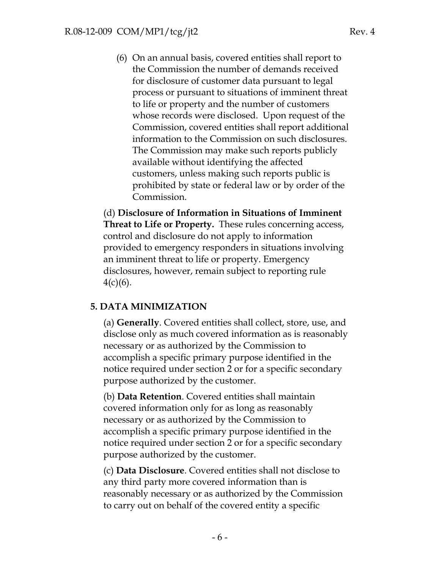(6) On an annual basis, covered entities shall report to the Commission the number of demands received for disclosure of customer data pursuant to legal process or pursuant to situations of imminent threat to life or property and the number of customers whose records were disclosed. Upon request of the Commission, covered entities shall report additional information to the Commission on such disclosures. The Commission may make such reports publicly available without identifying the affected customers, unless making such reports public is prohibited by state or federal law or by order of the Commission.

(d) **Disclosure of Information in Situations of Imminent Threat to Life or Property.** These rules concerning access, control and disclosure do not apply to information provided to emergency responders in situations involving an imminent threat to life or property. Emergency disclosures, however, remain subject to reporting rule  $4(c)(6)$ .

## **5. DATA MINIMIZATION**

(a) **Generally**. Covered entities shall collect, store, use, and disclose only as much covered information as is reasonably necessary or as authorized by the Commission to accomplish a specific primary purpose identified in the notice required under section 2 or for a specific secondary purpose authorized by the customer.

(b) **Data Retention**. Covered entities shall maintain covered information only for as long as reasonably necessary or as authorized by the Commission to accomplish a specific primary purpose identified in the notice required under section 2 or for a specific secondary purpose authorized by the customer.

(c) **Data Disclosure**. Covered entities shall not disclose to any third party more covered information than is reasonably necessary or as authorized by the Commission to carry out on behalf of the covered entity a specific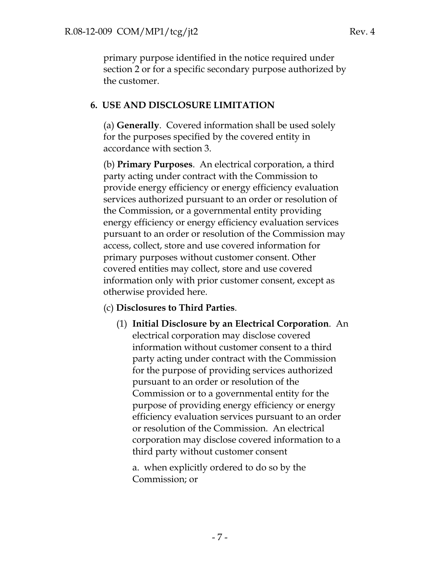primary purpose identified in the notice required under section 2 or for a specific secondary purpose authorized by the customer.

## **6. USE AND DISCLOSURE LIMITATION**

(a) **Generally**. Covered information shall be used solely for the purposes specified by the covered entity in accordance with section 3.

(b) **Primary Purposes**. An electrical corporation, a third party acting under contract with the Commission to provide energy efficiency or energy efficiency evaluation services authorized pursuant to an order or resolution of the Commission, or a governmental entity providing energy efficiency or energy efficiency evaluation services pursuant to an order or resolution of the Commission may access, collect, store and use covered information for primary purposes without customer consent. Other covered entities may collect, store and use covered information only with prior customer consent, except as otherwise provided here.

## (c) **Disclosures to Third Parties**.

(1) **Initial Disclosure by an Electrical Corporation**. An electrical corporation may disclose covered information without customer consent to a third party acting under contract with the Commission for the purpose of providing services authorized pursuant to an order or resolution of the Commission or to a governmental entity for the purpose of providing energy efficiency or energy efficiency evaluation services pursuant to an order or resolution of the Commission. An electrical corporation may disclose covered information to a third party without customer consent

a.when explicitly ordered to do so by the Commission; or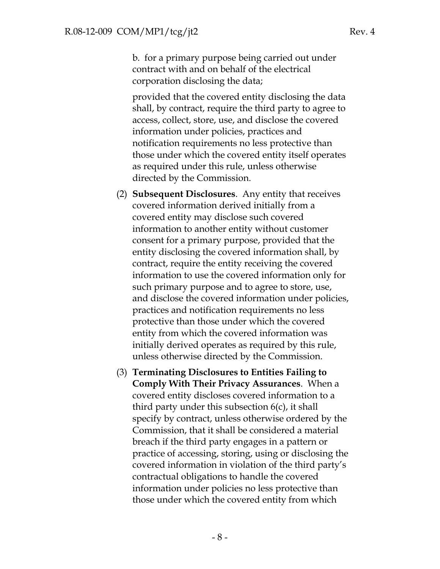b. for a primary purpose being carried out under contract with and on behalf of the electrical corporation disclosing the data;

provided that the covered entity disclosing the data shall, by contract, require the third party to agree to access, collect, store, use, and disclose the covered information under policies, practices and notification requirements no less protective than those under which the covered entity itself operates as required under this rule, unless otherwise directed by the Commission.

- (2) **Subsequent Disclosures**. Any entity that receives covered information derived initially from a covered entity may disclose such covered information to another entity without customer consent for a primary purpose, provided that the entity disclosing the covered information shall, by contract, require the entity receiving the covered information to use the covered information only for such primary purpose and to agree to store, use, and disclose the covered information under policies, practices and notification requirements no less protective than those under which the covered entity from which the covered information was initially derived operates as required by this rule, unless otherwise directed by the Commission.
- (3) **Terminating Disclosures to Entities Failing to Comply With Their Privacy Assurances**. When a covered entity discloses covered information to a third party under this subsection 6(c), it shall specify by contract, unless otherwise ordered by the Commission, that it shall be considered a material breach if the third party engages in a pattern or practice of accessing, storing, using or disclosing the covered information in violation of the third party's contractual obligations to handle the covered information under policies no less protective than those under which the covered entity from which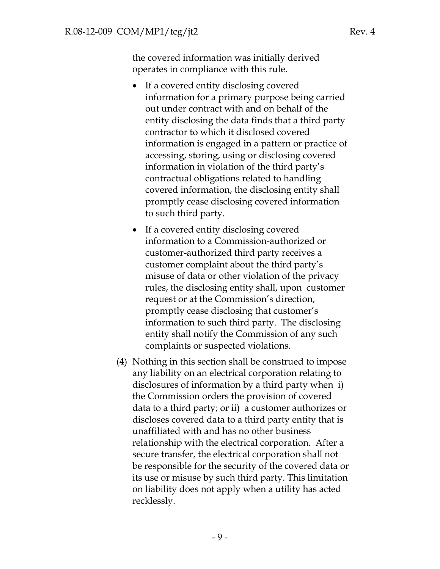the covered information was initially derived operates in compliance with this rule.

- If a covered entity disclosing covered information for a primary purpose being carried out under contract with and on behalf of the entity disclosing the data finds that a third party contractor to which it disclosed covered information is engaged in a pattern or practice of accessing, storing, using or disclosing covered information in violation of the third party's contractual obligations related to handling covered information, the disclosing entity shall promptly cease disclosing covered information to such third party.
- If a covered entity disclosing covered information to a Commission-authorized or customer-authorized third party receives a customer complaint about the third party's misuse of data or other violation of the privacy rules, the disclosing entity shall, upon customer request or at the Commission's direction, promptly cease disclosing that customer's information to such third party. The disclosing entity shall notify the Commission of any such complaints or suspected violations.
- (4) Nothing in this section shall be construed to impose any liability on an electrical corporation relating to disclosures of information by a third party when i) the Commission orders the provision of covered data to a third party; or ii) a customer authorizes or discloses covered data to a third party entity that is unaffiliated with and has no other business relationship with the electrical corporation. After a secure transfer, the electrical corporation shall not be responsible for the security of the covered data or its use or misuse by such third party. This limitation on liability does not apply when a utility has acted recklessly.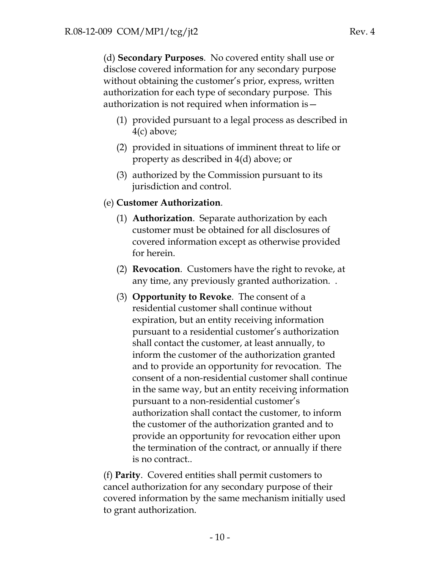(d) **Secondary Purposes**. No covered entity shall use or disclose covered information for any secondary purpose without obtaining the customer's prior, express, written authorization for each type of secondary purpose. This authorization is not required when information is—

- (1) provided pursuant to a legal process as described in 4(c) above;
- (2) provided in situations of imminent threat to life or property as described in 4(d) above; or
- (3) authorized by the Commission pursuant to its jurisdiction and control.
- (e) **Customer Authorization**.
	- (1) **Authorization**. Separate authorization by each customer must be obtained for all disclosures of covered information except as otherwise provided for herein.
	- (2) **Revocation**. Customers have the right to revoke, at any time, any previously granted authorization. .
	- (3) **Opportunity to Revoke**. The consent of a residential customer shall continue without expiration, but an entity receiving information pursuant to a residential customer's authorization shall contact the customer, at least annually, to inform the customer of the authorization granted and to provide an opportunity for revocation. The consent of a non-residential customer shall continue in the same way, but an entity receiving information pursuant to a non-residential customer's authorization shall contact the customer, to inform the customer of the authorization granted and to provide an opportunity for revocation either upon the termination of the contract, or annually if there is no contract..

(f) **Parity**. Covered entities shall permit customers to cancel authorization for any secondary purpose of their covered information by the same mechanism initially used to grant authorization.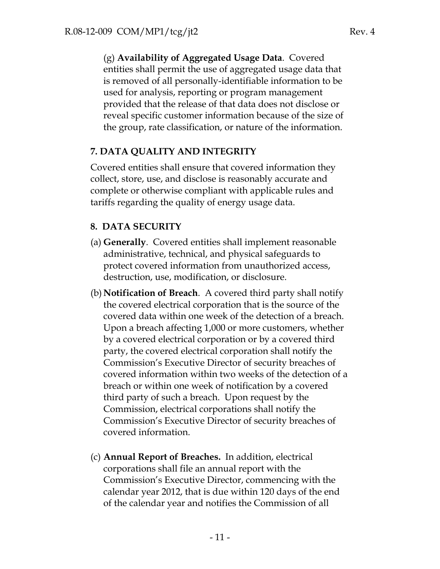(g) **Availability of Aggregated Usage Data**. Covered entities shall permit the use of aggregated usage data that is removed of all personally-identifiable information to be used for analysis, reporting or program management provided that the release of that data does not disclose or reveal specific customer information because of the size of the group, rate classification, or nature of the information.

## **7. DATA QUALITY AND INTEGRITY**

Covered entities shall ensure that covered information they collect, store, use, and disclose is reasonably accurate and complete or otherwise compliant with applicable rules and tariffs regarding the quality of energy usage data.

## **8. DATA SECURITY**

- (a) **Generally**. Covered entities shall implement reasonable administrative, technical, and physical safeguards to protect covered information from unauthorized access, destruction, use, modification, or disclosure.
- (b) **Notification of Breach**. A covered third party shall notify the covered electrical corporation that is the source of the covered data within one week of the detection of a breach. Upon a breach affecting 1,000 or more customers, whether by a covered electrical corporation or by a covered third party, the covered electrical corporation shall notify the Commission's Executive Director of security breaches of covered information within two weeks of the detection of a breach or within one week of notification by a covered third party of such a breach. Upon request by the Commission, electrical corporations shall notify the Commission's Executive Director of security breaches of covered information.
- (c) **Annual Report of Breaches.** In addition, electrical corporations shall file an annual report with the Commission's Executive Director, commencing with the calendar year 2012, that is due within 120 days of the end of the calendar year and notifies the Commission of all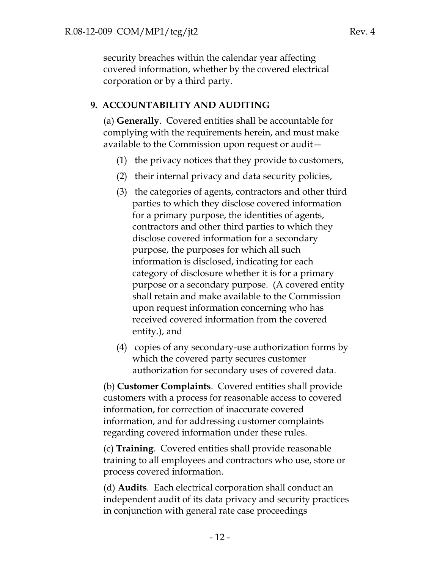security breaches within the calendar year affecting covered information, whether by the covered electrical corporation or by a third party.

## **9. ACCOUNTABILITY AND AUDITING**

(a) **Generally**. Covered entities shall be accountable for complying with the requirements herein, and must make available to the Commission upon request or audit—

- (1) the privacy notices that they provide to customers,
- (2) their internal privacy and data security policies,
- (3) the categories of agents, contractors and other third parties to which they disclose covered information for a primary purpose, the identities of agents, contractors and other third parties to which they disclose covered information for a secondary purpose, the purposes for which all such information is disclosed, indicating for each category of disclosure whether it is for a primary purpose or a secondary purpose. (A covered entity shall retain and make available to the Commission upon request information concerning who has received covered information from the covered entity.), and
- (4) copies of any secondary-use authorization forms by which the covered party secures customer authorization for secondary uses of covered data.

(b) **Customer Complaints**. Covered entities shall provide customers with a process for reasonable access to covered information, for correction of inaccurate covered information, and for addressing customer complaints regarding covered information under these rules.

(c) **Training**. Covered entities shall provide reasonable training to all employees and contractors who use, store or process covered information.

(d) **Audits**. Each electrical corporation shall conduct an independent audit of its data privacy and security practices in conjunction with general rate case proceedings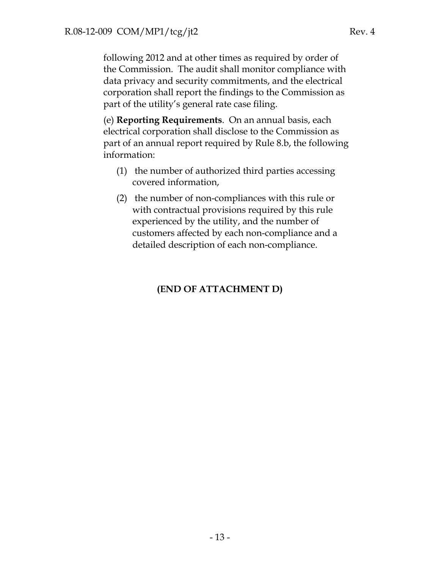following 2012 and at other times as required by order of the Commission. The audit shall monitor compliance with data privacy and security commitments, and the electrical corporation shall report the findings to the Commission as part of the utility's general rate case filing.

(e) **Reporting Requirements**. On an annual basis, each electrical corporation shall disclose to the Commission as part of an annual report required by Rule 8.b, the following information:

- (1) the number of authorized third parties accessing covered information,
- (2) the number of non-compliances with this rule or with contractual provisions required by this rule experienced by the utility, and the number of customers affected by each non-compliance and a detailed description of each non-compliance.

# **(END OF ATTACHMENT D)**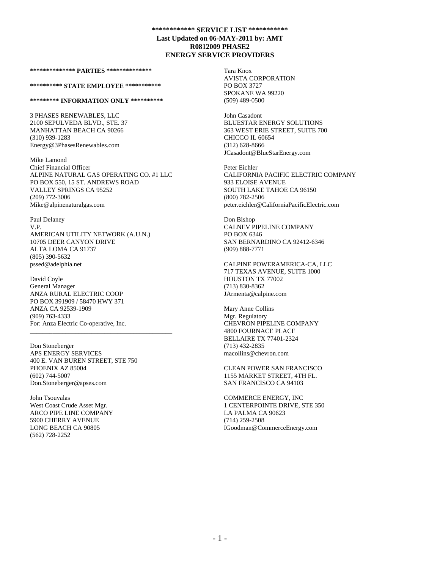#### **\*\*\*\*\*\*\*\*\*\*\*\*\*\* PARTIES \*\*\*\*\*\*\*\*\*\*\*\*\*\***

#### **\*\*\*\*\*\*\*\*\*\* STATE EMPLOYEE \*\*\*\*\*\*\*\*\*\*\***

#### **\*\*\*\*\*\*\*\*\* INFORMATION ONLY \*\*\*\*\*\*\*\*\*\***

3 PHASES RENEWABLES, LLC 2100 SEPULVEDA BLVD., STE. 37 MANHATTAN BEACH CA 90266 (310) 939-1283 Energy@3PhasesRenewables.com

Mike Lamond Chief Financial Officer ALPINE NATURAL GAS OPERATING CO. #1 LLC PO BOX 550, 15 ST. ANDREWS ROAD VALLEY SPRINGS CA 95252 (209) 772-3006 Mike@alpinenaturalgas.com

Paul Delaney V.P. AMERICAN UTILITY NETWORK (A.U.N.) 10705 DEER CANYON DRIVE ALTA LOMA CA 91737 (805) 390-5632 pssed@adelphia.net

David Coyle General Manager ANZA RURAL ELECTRIC COOP PO BOX 391909 / 58470 HWY 371 ANZA CA 92539-1909 (909) 763-4333 For: Anza Electric Co-operative, Inc. \_\_\_\_\_\_\_\_\_\_\_\_\_\_\_\_\_\_\_\_\_\_\_\_\_\_\_\_\_\_\_\_\_\_\_\_\_\_\_\_\_\_\_\_

Don Stoneberger APS ENERGY SERVICES 400 E. VAN BUREN STREET, STE 750 PHOENIX AZ 85004 (602) 744-5007 Don.Stoneberger@apses.com

John Tsouvalas West Coast Crude Asset Mgr. ARCO PIPE LINE COMPANY 5900 CHERRY AVENUE LONG BEACH CA 90805 (562) 728-2252

Tara Knox AVISTA CORPORATION PO BOX 3727 SPOKANE WA 99220 (509) 489-0500

John Casadont BLUESTAR ENERGY SOLUTIONS 363 WEST ERIE STREET, SUITE 700 CHICGO IL 60654 (312) 628-8666 JCasadont@BlueStarEnergy.com

Peter Eichler CALIFORNIA PACIFIC ELECTRIC COMPANY 933 ELOISE AVENUE SOUTH LAKE TAHOE CA 96150 (800) 782-2506 peter.eichler@CaliforniaPacificElectric.com

Don Bishop CALNEV PIPELINE COMPANY PO BOX 6346 SAN BERNARDINO CA 92412-6346 (909) 888-7771

CALPINE POWERAMERICA-CA, LLC 717 TEXAS AVENUE, SUITE 1000 HOUSTON TX 77002 (713) 830-8362 JArmenta@calpine.com

Mary Anne Collins Mgr. Regulatory CHEVRON PIPELINE COMPANY 4800 FOURNACE PLACE BELLAIRE TX 77401-2324 (713) 432-2835 macollins@chevron.com

CLEAN POWER SAN FRANCISCO 1155 MARKET STREET, 4TH FL. SAN FRANCISCO CA 94103

COMMERCE ENERGY, INC 1 CENTERPOINTE DRIVE, STE 350 LA PALMA CA 90623 (714) 259-2508 IGoodman@CommerceEnergy.com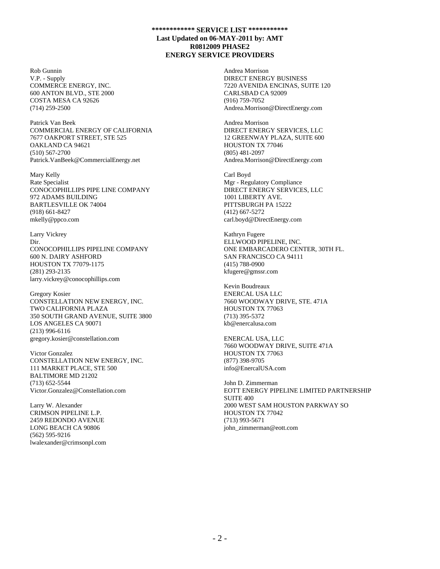Rob Gunnin V.P. - Supply COMMERCE ENERGY, INC. 600 ANTON BLVD., STE 2000 COSTA MESA CA 92626 (714) 259-2500

Patrick Van Beek COMMERCIAL ENERGY OF CALIFORNIA 7677 OAKPORT STREET, STE 525 OAKLAND CA 94621 (510) 567-2700 Patrick.VanBeek@CommercialEnergy.net

Mary Kelly Rate Specialist CONOCOPHILLIPS PIPE LINE COMPANY 972 ADAMS BUILDING BARTLESVILLE OK 74004 (918) 661-8427 mkelly@ppco.com

Larry Vickrey Dir. CONOCOPHILLIPS PIPELINE COMPANY 600 N. DAIRY ASHFORD HOUSTON TX 77079-1175 (281) 293-2135 larry.vickrey@conocophillips.com

Gregory Kosier CONSTELLATION NEW ENERGY, INC. TWO CALIFORNIA PLAZA 350 SOUTH GRAND AVENUE, SUITE 3800 LOS ANGELES CA 90071 (213) 996-6116 gregory.kosier@constellation.com

Victor Gonzalez CONSTELLATION NEW ENERGY, INC. 111 MARKET PLACE, STE 500 BALTIMORE MD 21202 (713) 652-5544 Victor.Gonzalez@Constellation.com

Larry W. Alexander CRIMSON PIPELINE L.P. 2459 REDONDO AVENUE LONG BEACH CA 90806 (562) 595-9216 lwalexander@crimsonpl.com Andrea Morrison DIRECT ENERGY BUSINESS 7220 AVENIDA ENCINAS, SUITE 120 CARLSBAD CA 92009 (916) 759-7052 Andrea.Morrison@DirectEnergy.com

Andrea Morrison DIRECT ENERGY SERVICES, LLC 12 GREENWAY PLAZA, SUITE 600 HOUSTON TX 77046 (805) 481-2097 Andrea.Morrison@DirectEnergy.com

Carl Boyd Mgr - Regulatory Compliance DIRECT ENERGY SERVICES, LLC 1001 LIBERTY AVE. PITTSBURGH PA 15222 (412) 667-5272 carl.boyd@DirectEnergy.com

Kathryn Fugere ELLWOOD PIPELINE, INC. ONE EMBARCADERO CENTER, 30TH FL. SAN FRANCISCO CA 94111 (415) 788-0900 kfugere@gmssr.com

Kevin Boudreaux ENERCAL USA LLC 7660 WOODWAY DRIVE, STE. 471A HOUSTON TX 77063 (713) 395-5372 kb@enercalusa.com

ENERCAL USA, LLC 7660 WOODWAY DRIVE, SUITE 471A HOUSTON TX 77063 (877) 398-9705 info@EnercalUSA.com

John D. Zimmerman EOTT ENERGY PIPELINE LIMITED PARTNERSHIP SUITE 400 2000 WEST SAM HOUSTON PARKWAY SO HOUSTON TX 77042 (713) 993-5671 john\_zimmerman@eott.com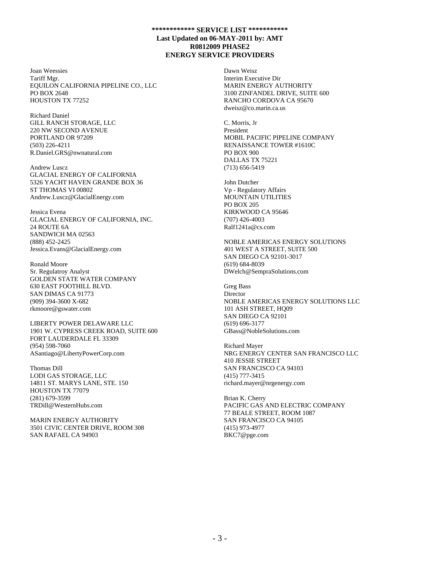Joan Weessies Tariff Mgr. EQUILON CALIFORNIA PIPELINE CO., LLC PO BOX 2648 HOUSTON TX 77252

Richard Daniel GILL RANCH STORAGE, LLC 220 NW SECOND AVENUE PORTLAND OR 97209 (503) 226-4211 R.Daniel.GRS@nwnatural.com

Andrew Luscz GLACIAL ENERGY OF CALIFORNIA 5326 YACHT HAVEN GRANDE BOX 36 ST THOMAS VI 00802 Andrew.Luscz@GlacialEnergy.com

Jessica Evena GLACIAL ENERGY OF CALIFORNIA, INC. 24 ROUTE 6A SANDWICH MA 02563 (888) 452-2425 Jessica.Evans@GlacialEnergy.com

Ronald Moore Sr. Regulatroy Analyst GOLDEN STATE WATER COMPANY 630 EAST FOOTHILL BLVD. SAN DIMAS CA 91773 (909) 394-3600 X-682 rkmoore@gswater.com

LIBERTY POWER DELAWARE LLC 1901 W. CYPRESS CREEK ROAD, SUITE 600 FORT LAUDERDALE FL 33309 (954) 598-7060 ASantiago@LibertyPowerCorp.com

Thomas Dill LODI GAS STORAGE, LLC 14811 ST. MARYS LANE, STE. 150 HOUSTON TX 77079 (281) 679-3599 TRDill@WesternHubs.com

MARIN ENERGY AUTHORITY 3501 CIVIC CENTER DRIVE, ROOM 308 SAN RAFAEL CA 94903

Dawn Weisz Interim Executive Dir MARIN ENERGY AUTHORITY 3100 ZINFANDEL DRIVE, SUITE 600 RANCHO CORDOVA CA 95670 dweisz@co.marin.ca.us

C. Morris, Jr President MOBIL PACIFIC PIPELINE COMPANY RENAISSANCE TOWER #1610C PO BOX 900 DALLAS TX 75221 (713) 656-5419

John Dutcher Vp - Regulatory Affairs MOUNTAIN UTILITIES PO BOX 205 KIRKWOOD CA 95646 (707) 426-4003 Ralf1241a@cs.com

NOBLE AMERICAS ENERGY SOLUTIONS 401 WEST A STREET, SUITE 500 SAN DIEGO CA 92101-3017 (619) 684-8039 DWelch@SempraSolutions.com

Greg Bass Director NOBLE AMERICAS ENERGY SOLUTIONS LLC 101 ASH STREET, HQ09 SAN DIEGO CA 92101 (619) 696-3177 GBass@NobleSolutions.com

Richard Mayer NRG ENERGY CENTER SAN FRANCISCO LLC 410 JESSIE STREET SAN FRANCISCO CA 94103 (415) 777-3415 richard.mayer@nrgenergy.com

Brian K. Cherry PACIFIC GAS AND ELECTRIC COMPANY 77 BEALE STREET, ROOM 1087 SAN FRANCISCO CA 94105 (415) 973-4977 BKC7@pge.com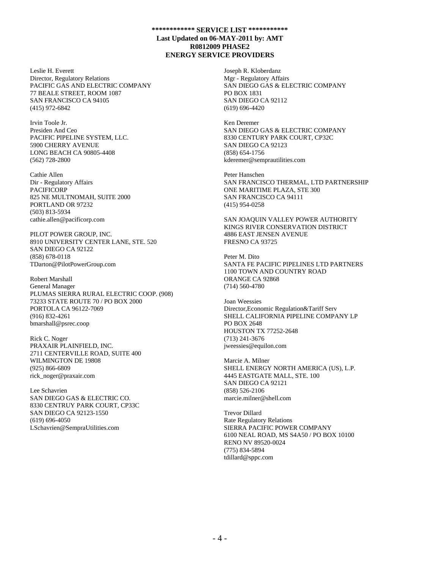Leslie H. Everett Director, Regulatory Relations PACIFIC GAS AND ELECTRIC COMPANY 77 BEALE STREET, ROOM 1087 SAN FRANCISCO CA 94105 (415) 972-6842

Irvin Toole Jr. Presiden And Ceo PACIFIC PIPELINE SYSTEM, LLC. 5900 CHERRY AVENUE LONG BEACH CA 90805-4408 (562) 728-2800

Cathie Allen Dir - Regulatory Affairs PACIFICORP 825 NE MULTNOMAH, SUITE 2000 PORTLAND OR 97232 (503) 813-5934 cathie.allen@pacificorp.com

PILOT POWER GROUP, INC. 8910 UNIVERSITY CENTER LANE, STE. 520 SAN DIEGO CA 92122 (858) 678-0118 TDarton@PilotPowerGroup.com

Robert Marshall General Manager PLUMAS SIERRA RURAL ELECTRIC COOP. (908) 73233 STATE ROUTE 70 / PO BOX 2000 PORTOLA CA 96122-7069 (916) 832-4261 bmarshall@psrec.coop

Rick C. Noger PRAXAIR PLAINFIELD, INC. 2711 CENTERVILLE ROAD, SUITE 400 WILMINGTON DE 19808 (925) 866-6809 rick\_noger@praxair.com

Lee Schavrien SAN DIEGO GAS & ELECTRIC CO. 8330 CENTRUY PARK COURT, CP33C SAN DIEGO CA 92123-1550 (619) 696-4050 LSchavrien@SempraUtilities.com

Joseph R. Kloberdanz Mgr - Regulatory Affairs SAN DIEGO GAS & ELECTRIC COMPANY PO BOX 1831 SAN DIEGO CA 92112 (619) 696-4420

Ken Deremer SAN DIEGO GAS & ELECTRIC COMPANY 8330 CENTURY PARK COURT, CP32C SAN DIEGO CA 92123 (858) 654-1756 kderemer@semprautilities.com

Peter Hanschen SAN FRANCISCO THERMAL, LTD PARTNERSHIP ONE MARITIME PLAZA, STE 300 SAN FRANCISCO CA 94111 (415) 954-0258

SAN JOAQUIN VALLEY POWER AUTHORITY KINGS RIVER CONSERVATION DISTRICT 4886 EAST JENSEN AVENUE FRESNO CA 93725

Peter M. Dito SANTA FE PACIFIC PIPELINES LTD PARTNERS 1100 TOWN AND COUNTRY ROAD ORANGE CA 92868 (714) 560-4780

Joan Weessies Director,Economic Regulation&Tariff Serv SHELL CALIFORNIA PIPELINE COMPANY LP PO BOX 2648 HOUSTON TX 77252-2648 (713) 241-3676 jweessies@equilon.com

Marcie A. Milner SHELL ENERGY NORTH AMERICA (US), L.P. 4445 EASTGATE MALL, STE. 100 SAN DIEGO CA 92121 (858) 526-2106 marcie.milner@shell.com

Trevor Dillard Rate Regulatory Relations SIERRA PACIFIC POWER COMPANY 6100 NEAL ROAD, MS S4A50 / PO BOX 10100 RENO NV 89520-0024 (775) 834-5894 tdillard@sppc.com